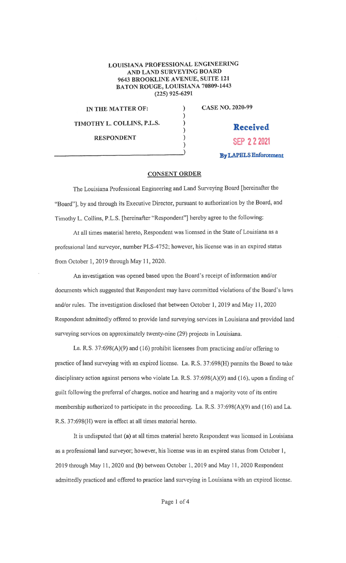## LOUISIANA PROFESSIONAL ENGINEERING AND LAND SURVEYING BOARD 9643 BROOKLINE AVENUE, SUITE 121 BATON ROUGE, LOUISIANA 70809-1443 (225) 925-6291

) ) ) ) )

IN THE MATTER OF: **TIMOTHY L. COLLINS, P.L.S.** 

**RESPONDENT**  RESPUNDENT CASE NO. 2020~99

**Received SEP 2 2 2021 By LAPELS Enforcement** 

## **CONSENT ORDER**

The Louisiana Professional Engineering and Land Surveying Board [hereinafter the "Board"], by and through its Executive Director, pursuant to authorization by the Board, and Timothy L. Collins, P.L.S. [hereinafter "Respondent"] hereby agree to the following:

At all times material hereto, Respondent was licensed in the State of Louisiana as a professional land surveyor, number PLS-4752; however, his license was in an expired status from October 1, 2019 through May 11, 2020.

An investigation was opened based upon the Board's receipt of information and/or documents which suggested that Respondent may have committed violations of the Board's laws and/or rules. The investigation disclosed that between October 1, 2019 and May 11, 2020 Respondent admittedly offered to provide land surveying services in Louisiana and provided land surveying services on approximately twenty-nine (29) projects in Louisiana.

La. R.S. 37:698(A)(9) and (16) prohibit licensees from practicing and/or offering to practice of land surveying with an expired license. La. R.S. 37:698(H) permits the Board to take disciplinary action against persons who violate La. R.S. 37:698(A)(9) and (16), upon a finding of guilt following the preferral of charges, notice and hearing and a majority vote of its entire membership authorized to participate in the proceeding. La. R.S. 37:698(A)(9) and ( 16) and La. R.S. 37:698(H) were in effect at all times material hereto.

It is undisputed that **(a)** at all times material hereto Respondent ivas licensed in Louisiana as a professional land surveyor; however, his license was in an expired status from October 1, 2019 through May 1 1, 2020 and **(b)** between October 1, 2019 and May l 1 , 2020 Respondent admittedly practiced and offered to practice land surveying in Louisiana with an expired license.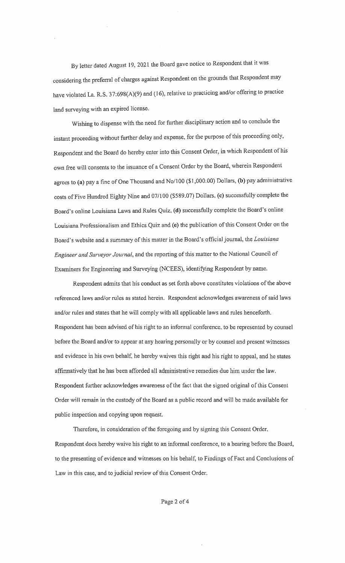By letter dated August 19, 2021 the Board gave notice to Respondent that it was considering the preferral of charges against Respondent on the grounds that Respondent may have violated La. R.S. 37:698(A)(9) and (16), relative to practicing and/or offering to practice land surveying with an expired 1icense.

Wishing to dispense with the need for further disciplinary action and to conclude the instant proceeding without further delay and expense, for the purpose of this proceeding only, Respondent and the Board do hereby enter into this Consent Order, in which Respondent of his own free will consents to the issuance of a Consent Order by the Board, wherein Respondent agrees to **(a)** pay a fine of One Thousand and No/100 (\$1,000.00) Dollars, **(b)** pay administrative costs of Five Hundred Eighty Nine and 07/100 (\$589.07) Do11ars, **(c)** successfully complete the Board's online Louisiana Laws and Rules Quiz, (d) successfully complete the Board's online Louisiana Professionalism and Ethics Quiz and (e) the publication of this Consent Order on the Board's website and a summary of this matter in the Board's official journal~ the *Louisiana Engineer and Surveyor Journal,* and the reporting of this matter to the National Council of Examiners for Engineering and Surveying (NCEES), identifying Respondent by name.

Respondent admits that his conduct as set forth above constitutes violations of the above referenced laws and/or rules as stated herein. Respondent acknowledges awareness of said laws and/or rules and states that he will comply with all applicable lavvs and rules henceforth. Respondent has been advised of his right to an infonnal conference. to be represented by counsel before the Board and/or to appear at any hearing personally or by counsel and present witnesses and evidence in his own behalf, he hereby waives this right and his right to appeal, and he states affirmatively that he has been afforded all administrative remedies due him under the law. Respondent further acknowledges awareness of the fact that the signed original of this Consent Order will remain in the custody of the Board as a public record and will be made available for public inspection and copying upon request.

Therefore, in consideration of the foregoing and by signing this Consent Order, Respondent does hereby waive his right to an informal conference, to a hearing before the Board, to the presenting of evidence and witnesses on his behalf, to Findings of Fact and Conclusions of Law in this case, and to judicial review of this Consent Order.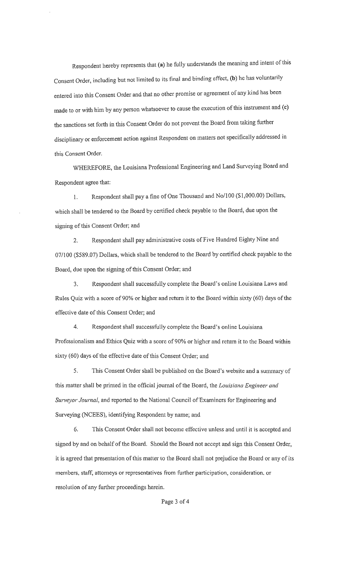Respondent hereby represents that (a) he fully understands the meaning and intent of this Consent Order, including but not limited to its final and binding eftect, (b) he has voluntarily entered into this Consent Order and that no other promise or agreement of any kind has been made to or with him by any person whatsoever to cause the execution of this instrument and (c) the sanctions set forth in this Consent Order do not prevent the Board from taking further disciplinary or enforcement action against Respondent on matters not specifically addressed in this Consent Order.

WHEREFORE, the Louisiana Professional Engineering and Land Surveying Board and Respondent agree that:

1. Respondent shall pay a fine of One Thousand and No/100 (\$1,000.00) Dollars, which shall be tendered to the Board by certified check payable to the Board, due upon the signing of this Consent Order; and

2. Respondent shall pay administrative costs of Five Hundred Eighty Nine and 07/100 (\$589.07) Dollars, which shall be tendered to the Board by certified check payable to the Board, due upon the signing of this Consent Order; and

3. Respondent shall successfully complete the Board's online Louisiana Laws and Rules Quiz with a score of 90% or higher and return it to the Board within sixty (60) days of the effective date of this Consent Order; and

4. Respondent shall successfully complete the Board:s online Louisiana Professionalism and Ethics Quiz with a score of 90% or higher and return it to the Board within sixty (60) days of the effective date of this Consent Order; and

5. This Consent Order shall be published on the Board's website and a summary of this matter shall be printed in the official journal of the Board, the *Louisiana Engineer and Surveyor Journal,* and reported to the National Council of Examiners for Engineering and Surveying (NCEES), identifying Respondent by name; and

6. This Consent Order shall not become effective unless and until it is accepted and signed by and on behalf of the Board. Should the Board not accept and sign this Consent Order, it is agreed that presentation of this matter to the Board shall not prejudice the Board or any of its members, staff, attorneys or representatives from further participation, consideration, or resolution of any further proceedings herein.